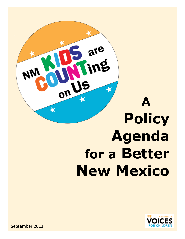



September 2013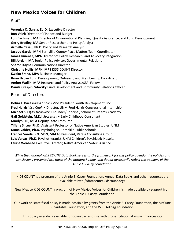# **New Mexico Voices for Children**

# **Staff**

**Veronica C. García, Ed.D.** Executive Director **Ron Valek** Director of Finance and Budget **Lori Bachman, MA** Director of Organizational Planning, Quality Assurance, and Fund Development **Gerry Bradley, MA** Senior Researcher and Policy Analyst **Armelle Casau, Ph.D.** Policy and Research Analyst **Jacque Garcia, MPH** Bernalillo County Place Matters Team Coordinator **James Jimenez, MPA** Director of Policy, Research, and Advocacy Integration **Bill Jordan, MA** Senior Policy Advisor/Governmental Relations **Sharon Kayne** Communications Director **Christine Hollis, MPH, MPS** KIDS COUNT Director **Kwaku Sraha, MPA** Business Manager **Brian Urban** Fund Development, Outreach, and Membership Coordinator **Amber Wallin, MPA** Research and Policy Analyst/SFAI Fellow **Danila Crespin Zidovsky** Fund Development and Community Relations Officer

Board of Directors

**Debra L. Baca** *Board Chair* • Vice President, Youth Development, Inc. **Fred Harris** *Vice Chair* • Director, UNM Fred Harris Congressional Internship **Michael S. Ogas** *Treasurer* • Founder/Principal, School of Dreams Academy **Gail Goldstein, M.Ed.** *Secretary* • Early Childhood Consultant **Marilyn Hill, MPA** Deputy State Treasurer **Tiffany S. Lee, Ph.D.** Assistant Professor of Native American Studies, UNM **Diana Valdez, Ph.D.** Psychologist, Bernalillo Public Schools **Frances Varela, RN, MSN, MALAS** President, Varela Consulting Group **Luis Vargas, Ph.D.** Psychotherapist, UNM Children's Psychiatric Hospital **Laurie Weahkee** Executive Director, Native American Voters Alliance

*While the national KIDS COUNT Data Book serves as the framework for this policy agenda, the policies and conclusions presented are those of the author(s) alone, and do not necessarily reflect the opinions of the Annie E. Casey Foundation.*

KIDS COUNT is a program of the Annie E. Casey Foundation. Annual Data Books and other resources are available at http://datacenter.kidscount.org/

New Mexico KIDS COUNT, a program of New Mexico Voices for Children, is made possible by support from the Annie E. Casey Foundation.

Our work on state fiscal policy is made possible by grants from the Annie E. Casey Foundation, the McCune Charitable Foundation, and the W.K. Kellogg Foundation

This policy agenda is available for download and use with proper citation at www.nmvoices.org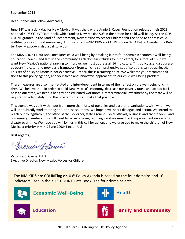### September 2013

Dear Friends and Fellow Advocates,

June 24<sup>th</sup> was a dark day for New Mexico. It was the day the Annie E. Casey Foundation released their 2013 national KIDS COUNT Data Book, which ranked New Mexico 50<sup>th</sup> in the nation for child well-being. As the KIDS COUNT grantee in the Land of Enchantment, New Mexico Voices for Children felt the need to address child well-being in a comprehensive way. This document—NM KIDS are COUNTing on Us: A Policy Agenda for a Better New Mexico—is also a call to action.

The KIDS COUNT Data Book measures child well-being by breaking it into four domains: economic well-being; education; health; and family and community. Each domain includes four indicators, for a total of 16. If we want New Mexico's national ranking to improve, we must address all 16 indicators. This policy agenda addresses every indicator and provides a framework from which a comprehensive set of solutions can be achieved. This set of policy solutions is not exhaustive. Rather, this is a starting point. We welcome your recommendations to this policy agenda, and your fresh and innovative approaches to our child well-being problem.

These measures are also inter-related and inter-dependent in terms of their effect on the well-being of children. We believe that, in order to build New Mexico's economy, decrease our poverty rates, and attract business to our state, we need a healthy and educated workforce. Greater financial investment by the state will be required to adequately fund the programs that can make that possible.

This agenda was built with input from more than forty of our allies and partner organizations, with whom we will undoubtedly work to bring about these solutions. We hope it will spark dialogue and action. We intend to reach out to legislators, the office of the Governor, state agencies, local officials, business and civic leaders, and community members. This will need to be an ongoing campaign and we must track improvement on each indicator over time. We hope you will join us in this call for action, and we urge you to make the children of New Mexico a priority. NM KIDS are COUNTing on Us!

Best regards,

Duca Contarcia

Veronica C. García, Ed.D. Executive Director, New Mexico Voices for Children

The **NM KIDS are COUNTing on Us**© Policy Agenda is based on the four domains and 16 indicators used in the KIDS COUNT Data Book. The four domains are:



**Economic Well-Being**





**Education**



**Family and Community**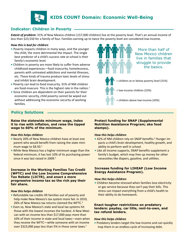

# **Indicator: Children in Poverty**

**Extent of problem:** 31% of New Mexico children (157,000 children) live at the poverty level. That's an annual income of less than \$23,550 for a family of four. Families earning up to twice the poverty level are considered low-income.

#### *How this is bad for children*

- **•** Poverty impacts children in many ways, and the younger the child, the more detrimental the impact. The single best predictor of a child's success rate at school is their family's economic level.
- **•** Children in poverty are more likely to suffer from adverse childhood experiences—food insecurity, homelessness, parents with untreated addictions and mental illnesses, etc. These kinds of trauma produce toxic levels of stress and inhibit brain development.
- **•** Poverty can lead to food insecurity. 31% of NM children are food-insecure. This is the highest rate in the nation.<sup>1</sup>
- **•** Since children are dependent on their parents for their economic security, child poverty cannot be wiped out without addressing the economic security of working families.

# **Policy Solutions**

**Raise the statewide minimum wage, index it to rise with inflation, and raise the tipped wage to 60% of the minimum.** 

#### *How this helps children*

- **•** Nearly 20% of New Mexico children have at least one parent who would benefit from raising the state minimum wage to \$8.50.<sup>2</sup>
- **•** While New Mexico has a higher minimum wage than the federal minimum, it has lost 10% of its purchasing power since it was last raised in 2009.<sup>3</sup>

#### **Increase in the Working Families Tax Credit (WFTC) and the Low Income Comprehensive Tax Rebate (LICTR), and enact a more progressive income tax so the rich pay their fair share.**

### *How this helps children*

- **•** Refundable tax credits lift families out of poverty and help make New Mexico's tax system more fair. In 2010, 26% of New Mexico tax returns claimed the WFTC.<sup>4</sup>
- over \$323,000 pays less than 5% in those same taxes.<sup>5</sup> trap them in an endle **•** Even so, New Mexico's state and local tax systems hit those with the lowest incomes the hardest. A New Mexican with an income less than \$17,000 pays more than 10% of their income in state and local taxes—even when they receive the WFTC—while someone with an income



More than half of New Mexico children live in families that struggle to provide the basics.



= low-income children (25%)

= children above low-income (43%)

#### **Protect funding for SNAP (Supplemental Nutrition Assistance Program; aka food stamps).**

#### *How this helps children*

- **42% of NM children rely on SNAP benefits.<sup>6</sup> Hunger im**pacts a child's brain development, healthy growth, and ability to perform well in school.
- Like all income supports, SNAP benefits supplement a family's budget, which may free up money for other necessities like diapers, gasoline, and utilities.

### **Increase funding for LIHEAP (Low Income Energy Assistance Program).**

### *How this helps children*

**•** Children become stressed when families lose electricity or gas service because they can't pay their bills. This stress can impact everything from a child's health to their ability to do homework.

### **Enact tougher restrictions on predatory lenders: payday, car title, rent-to-own, and tax refund lenders.**

#### *How this helps children*

**•** Predatory lenders target the low-income and can quickly trap them in an endless cycle of increasing debt.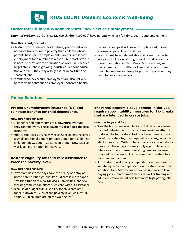

# **Indicator: Children Whose Parents Lack Secure Employment**

*Extent of problem:* 37% of New Mexico children (192,000) have parents who lack full-time, year-round employment.

#### *How this is bad for children*

- **•** Children whose parents lack full-time, year-round work are more likely to live in poverty than children whose parents have secure employment. Parents lack secure employment for a number of reasons, but most often it is because they lack the education or work skills needed to get stable jobs in growing industries. Without education and skills, they may also get stuck in part-time or seasonal jobs.
- **•** Parents who lack secure employment are also unlikely to receive benefits such as employer-sponsored health

insurance and paid sick leave. This places additional stresses on parents and children.

**•** Parents must have safe, reliable child care in order to work and look for work. High-quality child care costs more than tuition at New Mexico's universities, so too many parents must settle for low-quality care where their children are less likely to get the preparation they need for success in school.

# **Policy Solutions**

### **Protect unemployment insurance (UI) and reinstate benefits for child dependents.**

#### *How this helps children*

- UI benefits help tide victims of a downturn over until they can find work. These payments also boost the local economy.
- Prior to the recession, New Mexico UI recipients received a small additional benefit for each dependent child. That child benefit was cut in 2011, even though New Mexico was lagging the nation in recovery.

### **Restore eligibility for child care assistance to twice the poverty level.**

#### *How this helps children*

- Fewer families these days have the luxury of a stay-athome parent. But high-quality child care is more expensive than tuition at New Mexico's universities, and few working families can afford such care without assistance
- Because of budget cuts, eligibility for child care assistance is down to 125% of the poverty level. As a result, some 5,000 children are on the waiting list.<sup>7</sup>

### **Enact real economic development initiatives; require accountability measures for tax breaks that are intended to create jobs.**

#### *How this helps children*

- Over the last dozen years, billions of dollars have been handed out—in the form of tax breaks—in an attempt to draw jobs to the state. Not only have these tax cuts failed to create jobs, they required few, if any, accountability measures. Without benchmarks or accountability measures, these tax cuts are simply a gift to business interests at the expense of working families because they reduce the amount of revenue that the state has to invest in our children.
- Our children's well-being is dependent on their parent's well-being, which is dependent on the state's economic situation. New Mexico has an over-abundance of lowpaying jobs. Greater investments in worker training and adult education would help lure more high-paying jobs here.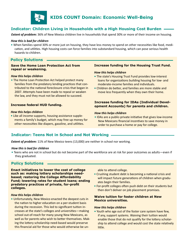

# **KIDS COUNT Domain: Economic Well-Being**

# **Indicator: Children Living in Households with a High Housing Cost Burden**

*Extent of problem:* 36% of New Mexico children live in households that spend 30% or more of their income on housing.

#### *How this is bad for children*

**•** When families spend 30% or more just on housing, they have less money to spend on other necessities like food, medication, and utilities. High housing costs can force families into substandard housing, which can pose serious health hazards to children.

## **Policy Solutions**

#### **Save the Home Loan Protection Act from repeal or weakening.**

#### *How this helps children*

**•** The Home Loan Protection Act helped protect many families from the predatory lending practices that contributed to the national foreclosure crisis that began in 2007. Attempts have been made to repeal or weaken the law, and they must not be allowed to succeed.

#### **Increase federal HUD funding.**

#### *How this helps children*

**•** Like all income supports, housing assistance supplements a family's budget, which may free up money for other necessities like diapers, gasoline, and utilities.

#### **Increase funding for the Housing Trust Fund.**

#### *How this helps children*

- The state's Housing Trust Fund provides low-interest loans for organizations building housing for low- and moderate-income families and individuals.
- **•** Children do better, and families are more stable and move less frequently when they own their home.

### **Increase funding for IDAs (Individual Development Accounts) for parents and children.**

#### *How this helps children*

**•** IDAs are a public-private initiative that gives low-income New Mexicans financial incentives to save money in order to purchase a home or pay for college.

# **Indicator: Teens Not in School and Not Working**

**Extent of problem:** 11% of New Mexico teens (13,000) are neither in school nor working.

#### *How this is bad for children*

**•** Teens who are not in school but do not become part of the workforce are at risk for poor outcomes as adults—even if they graduated.

# **Policy Solutions**

**Enact initiatives to lower the cost of college such as: making lottery scholarships needbased; restoring the College Affordability Fund; lowering rates for student loans; ending predatory practices of private, for-profit colleges.**

#### *How this helps children*

this financial aid for those who would otherwise be un-<br>example thit little. **•** Unfortunately, New Mexico enacted the deepest cuts in the nation to higher education on a per-student basis during the recession. This led to significant tuition increases at the state's colleges and universities—making school out-of-reach for many young New Mexicans, as well as for parents who wish to better themselves. Making the lottery scholarship need-based would preserve

able to attend college.

- **•** Crushing student debt is becoming a national crisis and will impact future generations of children when graduates begin their families.
- **•** For-profit colleges often push debt on their students but then don't deliver on job placement promises.

#### **Waive tuition for foster children at New Mexico universities.**

#### *How this helps children*

**•** Youth who age out of the foster care system have few, if any, support systems. Waiving their tuition would enable those that do not qualify for the lottery scholarship to attend college and would cost the state relatively little.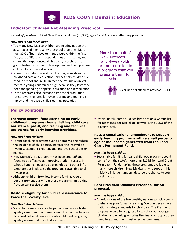

# **Indicator: Children Not Attending Preschool**

*Extent of problem:* 62% of New Mexico children (35,000), ages 3 and 4, are not attending preschool.

#### *How this is bad for children*

- **•** Too many New Mexico children are missing out on the advantages of high-quality preschool programs. More than 80% of brain development occurs within the first five years of life, and is dependent upon nurturing and stimulating experiences. High-quality preschool programs foster robust brain development and help prepare children for success at school.
- **•** Numerous studies have shown that high-quality early childhood care and education services help children succeed in school and in life. In fact, the returns on investments in young children are high because they lower the need for spending on special education and remediation.
- **•** These programs also increase high school graduation rates, lower the rates for juvenile crime and teen pregnancy, and increase a child's earning potential.

More than half of New Mexico's 3 and 4-year-olds are not enrolled in a program that will prepare them for school.





= children not attending preschool (62%)

# **Policy Solutions**

**Increase general fund spending on early childhood programs: home visiting, child care assistance, pre-K, and training and technical assistance for early learning providers.**

#### *How this helps children*

- **•** Parent coaching programs such as home visiting reduce the incidence of child abuse, increase the interval between subsequent children, and improve school performance.
- New Mexico's Pre-K program has been studied<sup>8</sup> and found to be effective at improving student success in school. Funding needs to be expanded and other infrastructure put in place so the program is available to all 4-year-olds.
- **•** Although children from low-income families would benefit tremendously from these programs, only a tiny fraction can receive them.

### **Restore eligibility for child care assistance to twice the poverty level.**

#### *How this helps children*

**•** State child care assistance helps children receive higher quality care than their parents would otherwise be able to afford. When it comes to early childhood programs, quality is essential to a child's success.

**•** Unfortunately, some 5,000 children are on a waiting list for assistance because eligibility was cut to 125% of the poverty level.

#### **Pass a constitutional amendment to support early learning programs with a small percentage of the income generated from the Land Grant Permanent Fund.**

#### *How this helps children*

**•** Sustainable funding for early childhood programs could come from the state's more than \$11 billion Land Grant Permanent Fund, making these programs available to many more children. New Mexicans, who support this initiative in large numbers, deserve the chance to vote on this issue.

### **Pass President Obama's Preschool for All proposal.**

#### *How this helps children*

**•** America is one of the few wealthy nations to lack a comprehensive plan for early learning. We don't even have national safety standards for child care. The President's proposal would be a big step forward for our youngest children and would give states the financial support they need to expand their most effective programs.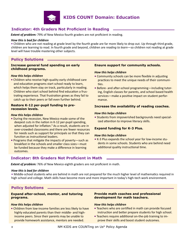

# **KIDS COUNT Domain: Education**

# **Indicator: 4th Graders Not Proficient in Reading**

**Extent of problem:** 79% of New Mexico fourth graders are not proficient in reading.

#### *How this is bad for children*

**•** Children who are not reading at grade level by the fourth grade are far more likely to drop out. Up through third grade, children are learning to read. In fourth grade and beyond, children are *reading to learn*—so children not reading at grade level will have trouble mastering other subjects.

# **Policy Solutions**

#### **Increase general fund spending on early childhood programs.**

#### *How this helps children*

**•** Children who receive high-quality early childhood care and education programs start school ready to learn, which helps them stay on track, particularly in reading. Children who start school behind find education a frustrating experience. That frustration grows as they fail to catch up to their peers or fall even further behind.

#### **Restore K-12 per-pupil funding to prerecession levels.**

#### *How this helps children*

- During the recession, New Mexico made some of the deepest cuts in the nation in K-12 per-pupil spending, when adjusted for inflation.<sup>9</sup> As a result, students are in over-crowded classrooms and there are fewer resources for needs such as support for principals so that they can function as instructional leaders.
- Programs that mitigate the impacts of poverty—such as breakfast in the schools and smaller class sizes—must be funded because they make a difference in learning outcomes.

#### **Ensure support for community schools.**

#### *How this helps children*

- Community schools can be more flexible in adjusting practices to meet the unique needs of their communities.
- Before- and after-school programming—including tutoring, English classes for parents, and school based health services—make a positive impact on student performance.

#### **Increase the availability of reading coaches.**

#### *How this helps children*

**•** Students from impoverished backgrounds need specialized attention to improve literacy skills.

### **Expand funding for K-3 Plus.**

#### *How this helps children*

**•** K-3 Plus expands the school year for low-income students in some schools. Students who are behind need additional quality instructional time.

## **Indicator: 8th Graders Not Proficient in Math**

*Extent of problem:* 76% of New Mexico eighth graders are not proficient in math.

#### *How this is bad for children*

**•** Middle-school students who are behind in math are not prepared for the much higher level of mathematics required in high school and college. Math skills have become more and more important in today's high-tech work environment.

## **Policy Solutions**

#### **Expand after-school, mentor, and tutoring programs.**

#### *How this helps children*

**•** Children from low-income families are less likely to have highly educated parents than their middle- and highincome peers. Since their parents may be unable to provide homework assistance, mentors are needed.

#### **Provide math coaches and professional development for math teachers.**

#### *How this helps children*

- Teachers who are certified in math can provide focused instruction and better prepare students for high school.
- Teachers require additional on-the-job training to improve their skills and boost student outcomes.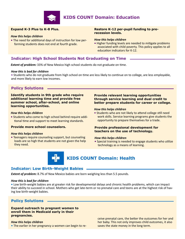

# **KIDS COUNT Domain: Education**

### **Expand K-3 Plus to K-8 Plus.**

#### *How this helps children*

**•** The need for additional days of instruction for low performing students does not end at fourth grade.

#### **Restore K-12 per-pupil funding to prerecession levels.**

#### *How this helps children*

**•** Higher funding levels are needed to mitigate problems associated with child poverty. This policy applies to all education indicators for K-12.

### **Indicator: High School Students Not Graduating on Time**

*Extent of problem:* 33% of New Mexico high school students do not graduate on time.

#### *How this is bad for children*

**•** Students who do not graduate from high school on time are less likely to continue on to college, are less employable, and more likely to earn low incomes.

## **Policy Solutions**

**Identify students in 9th grade who require additional learning time and provide free summer school, after-school, and online learning opportunities.** 

#### *How this helps children*

**•** Students who come to high school behind require additional time and support to meet learning standards.

#### **Provide more school counselors.**

#### *How this helps children*

**•** Teenagers require counseling support, but counseling loads are so high that students are not given the help they need.

#### **Provide relevant learning opportunities through service learning and dual credit to better prepare students for career or college.**

#### *How this helps children*

**•** Students who are not likely to attend college still need work skills. Service learning programs give students the opportunity to prepare themselves for a trade.

### **Provide professional development for teachers on the use of technology.**

#### *How this helps children*

**•** Special training is needed to engage students who utilize technology as a means of learning.



# **KIDS COUNT Domain: Health**

### **Indicator: Low Birth-Weight Babies**

*Extent of problem:* 8.7% of New Mexico babies are born weighing less than 5.5 pounds.

#### *How this is bad for children*

**•** Low birth-weight babies are at greater risk for developmental delays and chronic health problems, which can impact their ability to succeed in school. Mothers who get late-term or no prenatal care and teens are at the highest risk of having low birth-weight babies.

## **Policy Solutions**

#### **Expand outreach to pregnant women to enroll them in Medicaid early in their pregnancies.**

#### *How this helps children*

**•** The earlier in her pregnancy a women can begin to re-

omen can begin to re-<br>Saves the state money in the long term. ceive prenatal care, the better the outcomes for her and her baby. This not only improves child outcomes, it also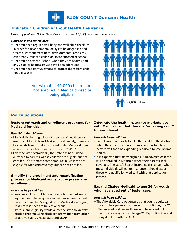

# **Indicator: Children without Health Insurance**

*Extent of problem:* 9% of New Mexico children (47,000) lack health insurance.

### *How this is bad for children*

- Children need regular well-baby and well-child checkups in order for developmental delays to be diagnosed and treated. Without treatment, developmental problems can greatly impact a child's ability to succeed at school.
- **•** Children do better at school when they are healthy and any vision or hearing issues have been addressed.
- **•** Children need immunizations to protect them from childhood diseases.

An estimated 40,000 children are not enrolled in Medicaid despite being eligible.



# **Policy Solutions**

### **Restore outreach and enrollment programs for Medicaid for kids.**

### *How this helps children*

- **•** Medicaid is the single largest provider of health coverage for children in New Mexico. Unfortunately, there are thousands fewer children covered under Medicaid then when Governor Martinez took office in 2011.<sup>10</sup>
- Over the last several years, the state has not funded outreach to parents whose children are eligible but not enrolled. It's estimated that some 40,000 children are eligible for Medicaid coverage but are not enrolled.

### **Simplify the enrollment and recertification process for Medicaid and enact express-lane enrollment.**

### *How this helps children*

- Enrolling children in Medicaid is one hurdle, but keeping them enrolled is quite another. Since parents must recertify their child's eligibility for Medicaid every year, that process needs to be less onerous.
- Express-lane eligibility would allow the state to identify eligible children using eligibility information from other programs such as Head Start and SNAP.

### **Integrate the health insurance marketplace with Medicaid so that there is "no wrong door" for enrollment.**

### *How this helps children*

- Parents are more likely to take their child to the doctor when they have insurance themselves. Fortunately, New Mexico will soon be expanding Medicaid to low-income adults.
- It is expected that many eligible but uncovered children will be enrolled in Medicaid when their parents seek coverage. The state's health insurance exchange—where most individuals will go for insurance—should assist those who qualify for Medicaid with that application process.

### **Expand Chafee Medicaid to age 26 for youth who have aged out of foster care.**

### *How this helps children*

**•** The Affordable Care Act ensures that young adults can stay on their parents' insurance plans until they are 26. Chafee Medicaid covers those who have aged out of the foster care system up to age 21. Expanding it would bring it in line with the ACA.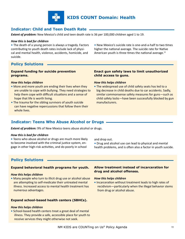

# **Indicator: Child and Teen Death Rate**

*Extent of problem:* New Mexico's child and teen death rate is 36 per 100,000 children aged 1 to 19.

#### *How this is bad for children*

**•** The death of a young person is always a tragedy. Factors contributing to youth death rates include lack of physical and mental health, violence, accidents, homicide, and suicide.

**•** New Mexico's suicide rate is one-and-a-half to two times higher the national average. The suicide rate for Native American youth is three times the national average. $11$ 

# **Policy Solutions**

### **Expand funding for suicide prevention programs.**

#### *How this helps children*

- More and more youth are ending their lives when they are unable to cope with bullying. They need strategies to help them cope with difficult situations and a sense of hope that life is worth living.
- The trauma for the sibling survivors of youth suicide can have negative repercussions that follow them their whole lives.

### **Enact gun safety laws to limit unauthorized child access to guns.**

#### *How this helps children*

**•** The widespread use of child safety seats has led to a big decrease in child deaths due to car accidents. Sadly, similar commonsense safety measures for guns—such as child safety locks—have been successfully blocked by gun manufacturers.

## **Indicator: Teens Who Abuse Alcohol or Drugs**

**Extent of problem:** 9% of New Mexico teens abuse alcohol or drugs.

#### *How this is bad for children*

**•** Teens who abuse alcohol or drugs are much more likely to become involved with the criminal justice system, engage in other high-risk activities, and do poorly in school

and drop out.

**•** Drug and alcohol use can lead to physical and mental health problems, and is often also a factor in youth suicide.

## **Policy Solutions**

### **Expand behavioral health programs for youth.**

#### *How this helps children*

**•** Many people who turn to illicit drug use or alcohol abuse are attempting to self-medicate their untreated mental illness. Increased access to mental health treatment has numerous advantages.

#### **Expand school-based health centers (SBHCs).**

### *How this helps children*

**•** School-based health centers treat a great deal of mental illness. They provide a safe, accessible place for youth to receive services they might otherwise not seek.

### **Allow treatment instead of incarceration for drug and alcohol offenses.**

#### *How this helps children*

**•** Incarceration without treatment leads to high rates of recidivism—particularly when the illegal behavior stems from drug or alcohol abuse.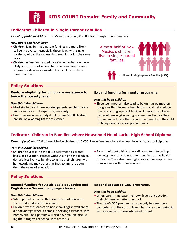

# **KIDS COUNT Domain: Family and Community**

# **Indicator: Children in Single-Parent Families**

*Extent of problem:* 43% of New Mexico children (208,000) live in single-parent families.

#### *How this is bad for children*

- **•** Children living in single-parent families are more likely to live in poverty—especially those living with single mothers, who still earn less than men for doing the same work.
- **•** Children in families headed by a single mother are more likely to drop out of school, become teen parents, and experience divorce as an adult than children in twoparent families.

Almost half of New Mexico's children live in single-parent families.





= children in single-parent families (43%)

# **Policy Solutions**

### **Restore eligibility for child care assistance to twice the poverty level.**

#### *How this helps children*

- **•** Most single parents are working parents, so child care is an unavoidable, but expensive, necessity.
- **•** Due to recession-era budget cuts, some 5,000 children are still on a waiting list for assistance.

### **Expand funding for mentor programs.**

#### *How this helps children*

**•** Since teen mothers also tend to be unmarried mothers, programs that decrease teen births would help reduce the rate of single-parent families. Programs can foster self confidence, give young women direction for their future, and educate them about the benefits to the child of being raised in a two-parent family.

# **Indicator: Children in Families where Household Head Lacks High School Diploma**

*Extent of problem:* 22% of New Mexico children (115,000) live in families where the head lacks a high school diploma.

### *How this is bad for children*

- **•** Children's success in school is closely tied to parental levels of education. Parents without a high school education are less likely to be able to assist their children with homework and may be less inclined to impress upon them the value of education.
- **•** Parents without a high school diploma tend to end up in low-wage jobs that do not offer benefits such as health insurance. They also have higher rates of unemployment than workers with more education.

# **Policy Solutions**

### **Expand funding for Adult Basic Education and English as a Second Language classes.**

#### *How this helps children*

- **•** When parents increase their own levels of education their children do better in school.
- **•** Children whose parents do not speak English well are at a disadvantage when it comes to seeking assistance with homework. Their parents will also have trouble discussing their progress at school with teachers.

### **Expand access to GED programs.**

#### *How this helps children*

- **•** When parents increase their own levels of education, their children do better in school.
- **•** The state's GED program can now only be taken on a computer, and the cost to take it has gone up—making it less accessible to those who need it most.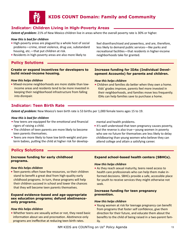

# **Indicator: Children Living in High-Poverty Areas**

*Extent of problem:* 21% of New Mexico children live in areas where the overall poverty rate is 30% or higher.

#### *How this is bad for children*

- **•** High-poverty areas are plagued by a whole host of social problems—crime, street violence, drug use, substandard housing, etc.—that put children at risk.
- **•** Residents in high-poverty areas are also more likely to

# **Policy Solutions**

#### **Create or expand incentives for developers to build mixed-income housing.**

#### *How this helps children*

**•** Mixed-income neighborhoods are more stable than lowincome areas and residents tend to be more invested in keeping their neighborhood infrastructure from falling into disrepair.

# **Indicator: Teen Birth Rate**

*Extent of problem:* New Mexico's teen birth rate is 53 births per 1,000 female teens ages 15 to 19.

#### *How this is bad for children*

- **•** Few teens are equipped for the emotional and financial rigors of raising a child.
- **•** The children of teen parents are more likely to become teen parents themselves.
- **•** Teens are more likely to have low birth-weight and preterm babies, putting the child at higher risk for develop-

mental and health problems.

**•** It's well understood that teen pregnancy causes poverty, but the reverse is also true—young women in poverty who see no future for themselves are less likely to delay childbearing than young women who believe they can attend college and attain a satisfying career.

# **Policy Solutions**

### **Increase funding for early childhood programs.**

#### *How this helps children*

**•** Teen parents often have few resources, so their children stand to benefit a great deal from high-quality early childhood programs. In turn, these programs will help their children succeed in school and lower the chances that they will become teen parents themselves.

#### **Expand evidence-based and age-appropriate sex education programs; defund abstinenceonly programs.**

## *How this helps children*

**•** Whether teens are sexually active or not, they need basic information about sex and procreation. Abstinence-only programs are ineffective at reducing teen birth rates.

### **Expand school-based health centers (SBHCs).**

#### *How this helps children*

**•** As they reach sexual maturity, teens need access to health care professionals who can help them make informed decisions. SBHCs provide a safe, accessible place for youth to receive services they might otherwise not seek.

### **Increase funding for teen pregnancy prevention.**

#### *How this helps children*

**•** Young women at risk for teenage pregnancy can benefit from programs that foster self confidence, give them direction for their future, and educate them about the benefits to the child of being raised in a two-parent family.

feel disenfranchised and powerless, and are, therefore, less likely to demand public services—like parks and recreational facilities—that residents in higher-income neighborhoods take for granted.

# *How this helps children*

**•** Children and families do better when they own a home. Kids' grades improve, parents feel more invested in their neighborhoods, and families move less frequently. IDAs can help families save to purchase a home.

**Increase funding for IDAs (Individual Development Accounts) for parents and children.**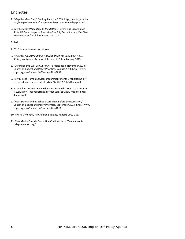# Endnotes

- 1. "Map the Meal Gap," Feeding America, 2013: http://feedingamerica. org/hunger-in-america/hunger-studies/map-the-meal-gap.aspx#
- 2. *New Mexico's Wage Race to the Bottom: Raising and Indexing the State Minimum Wage to Break the Free Fall*, Gerry Bradley, MA, New Mexico Voices for Children, January 2013
- 3. Ibid
- 4. 2010 federal income tax returns
- 5. *Who Pays? A Distributional Analysis of the Tax Systems in All 50 States*, Institute on Taxation & Economic Policy, January 2013
- 6. "SNAP Benefits Will Be Cut for All Participants in November 2013," Center on Budget and Policy Priorities, August 2013: http://www. cbpp.org/cms/index.cfm?fa=view&id=3899
- 7. New Mexico Human Services Department monthly reports: http:// www.hsd.state.nm.us/isd/files/MSR%2012-2011%20data.pdf
- 8. National Institute for Early Education Research: 2005-2008 NM Pre K Evaluation Final Report; http://nieer.org/pdf/new-mexico-initial-4-years.pdf
- 9. "Most States Funding Schools Less Than Before the Recession," Center on Budget and Policy Priorities, September 2013: http://www. cbpp.org/cms/index.cfm?fa=view&id=4011
- 10. NM HSD Monthly All Children Eligibility Reports 2010-2013
- 11. New Mexico Suicide Prevention Coalition: http://www.nmsuicideprevention.org/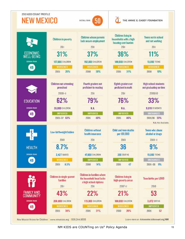

Now Mexico Voices for Children | www.nmvoices.org | 505.244.9505

Learn more at: datacenter.kidscount.org/NM